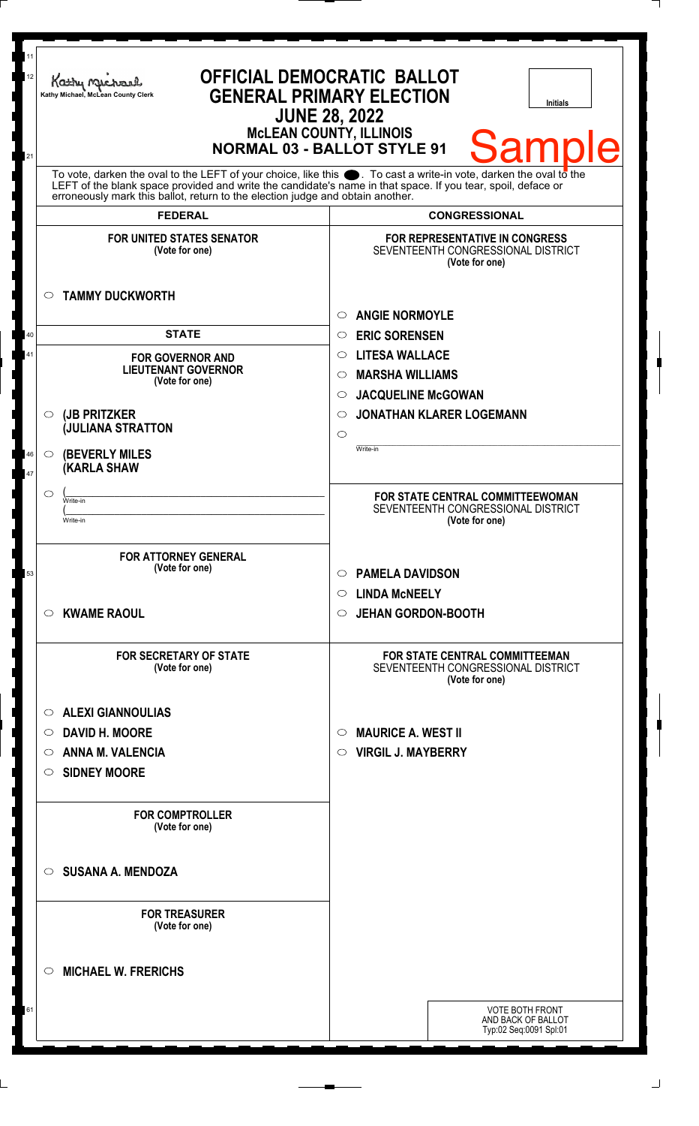| 11<br>12<br>21 | Kathy Michael<br>Kathy Michael, McLean County Clerk<br><b>NORMAL 03 - BALLOT STYLE 91</b>                                                                                                                                                                                                                              | <b>OFFICIAL DEMOCRATIC BALLOT</b><br><b>GENERAL PRIMARY ELECTION</b><br><b>Initials</b><br><b>JUNE 28, 2022</b><br><b>MCLEAN COUNTY, ILLINOIS</b><br><b>Samp</b> |  |
|----------------|------------------------------------------------------------------------------------------------------------------------------------------------------------------------------------------------------------------------------------------------------------------------------------------------------------------------|------------------------------------------------------------------------------------------------------------------------------------------------------------------|--|
|                | To vote, darken the oval to the LEFT of your choice, like this $\bullet$ . To cast a write-in vote, darken the oval to the LEFT of the blank space provided and write the candidate's name in that space. If you tear, spoil, deface<br>erroneously mark this ballot, return to the election judge and obtain another. |                                                                                                                                                                  |  |
|                | <b>FEDERAL</b>                                                                                                                                                                                                                                                                                                         | <b>CONGRESSIONAL</b>                                                                                                                                             |  |
|                | <b>FOR UNITED STATES SENATOR</b><br>(Vote for one)<br><b>TAMMY DUCKWORTH</b><br>$\circ$                                                                                                                                                                                                                                | FOR REPRESENTATIVE IN CONGRESS<br>SEVENTEENTH CONGRESSIONAL DISTRICT<br>(Vote for one)                                                                           |  |
|                |                                                                                                                                                                                                                                                                                                                        | <b>ANGIE NORMOYLE</b><br>$\circ$                                                                                                                                 |  |
| 40             | <b>STATE</b>                                                                                                                                                                                                                                                                                                           | <b>ERIC SORENSEN</b><br>$\circ$                                                                                                                                  |  |
| 41             |                                                                                                                                                                                                                                                                                                                        | <b>LITESA WALLACE</b><br>$\circ$                                                                                                                                 |  |
|                | <b>FOR GOVERNOR AND</b><br><b>LIEUTENANT GOVERNOR</b>                                                                                                                                                                                                                                                                  | <b>MARSHA WILLIAMS</b>                                                                                                                                           |  |
|                | (Vote for one)                                                                                                                                                                                                                                                                                                         | $\circ$                                                                                                                                                          |  |
|                |                                                                                                                                                                                                                                                                                                                        | <b>JACQUELINE McGOWAN</b><br>$\circ$                                                                                                                             |  |
|                | (JB PRITZKER<br>$\circ$<br><b>JULIANA STRATTON</b>                                                                                                                                                                                                                                                                     | <b>JONATHAN KLARER LOGEMANN</b><br>$\circ$                                                                                                                       |  |
|                |                                                                                                                                                                                                                                                                                                                        | $\circ$<br>Write-in                                                                                                                                              |  |
| 46             | <b>(BEVERLY MILES)</b><br>$\circ$<br><b>KARLA SHAW</b>                                                                                                                                                                                                                                                                 |                                                                                                                                                                  |  |
| 47             |                                                                                                                                                                                                                                                                                                                        |                                                                                                                                                                  |  |
|                | $\circ$<br>Write-in                                                                                                                                                                                                                                                                                                    | FOR STATE CENTRAL COMMITTEEWOMAN<br>SEVENTEENTH CONGRESSIONAL DISTRICT                                                                                           |  |
|                | Write-in                                                                                                                                                                                                                                                                                                               | (Vote for one)                                                                                                                                                   |  |
|                |                                                                                                                                                                                                                                                                                                                        |                                                                                                                                                                  |  |
|                | <b>FOR ATTORNEY GENERAL</b><br>(Vote for one)                                                                                                                                                                                                                                                                          |                                                                                                                                                                  |  |
| 53             |                                                                                                                                                                                                                                                                                                                        | <b>PAMELA DAVIDSON</b><br>$\circ$                                                                                                                                |  |
|                |                                                                                                                                                                                                                                                                                                                        | <b>LINDA MCNEELY</b><br>$\circ$                                                                                                                                  |  |
|                | <b>KWAME RAOUL</b><br>C).                                                                                                                                                                                                                                                                                              | <b>JEHAN GORDON-BOOTH</b><br>$\circ$                                                                                                                             |  |
|                | <b>FOR SECRETARY OF STATE</b><br>(Vote for one)                                                                                                                                                                                                                                                                        | FOR STATE CENTRAL COMMITTEEMAN<br>SEVENTEENTH CONGRESSIONAL DISTRICT<br>(Vote for one)                                                                           |  |
|                | <b>ALEXI GIANNOULIAS</b><br>$\circ$                                                                                                                                                                                                                                                                                    |                                                                                                                                                                  |  |
|                | <b>DAVID H. MOORE</b><br>$\circ$                                                                                                                                                                                                                                                                                       | <b>MAURICE A. WEST II</b><br>$\circ$                                                                                                                             |  |
|                | <b>ANNA M. VALENCIA</b><br>O                                                                                                                                                                                                                                                                                           | <b>VIRGIL J. MAYBERRY</b><br>$\circ$                                                                                                                             |  |
|                |                                                                                                                                                                                                                                                                                                                        |                                                                                                                                                                  |  |
|                | <b>SIDNEY MOORE</b><br>O                                                                                                                                                                                                                                                                                               |                                                                                                                                                                  |  |
|                | <b>FOR COMPTROLLER</b><br>(Vote for one)                                                                                                                                                                                                                                                                               |                                                                                                                                                                  |  |
|                | <b>SUSANA A. MENDOZA</b><br>$\bigcirc$                                                                                                                                                                                                                                                                                 |                                                                                                                                                                  |  |
|                | <b>FOR TREASURER</b><br>(Vote for one)                                                                                                                                                                                                                                                                                 |                                                                                                                                                                  |  |
|                | <b>MICHAEL W. FRERICHS</b><br>◯                                                                                                                                                                                                                                                                                        |                                                                                                                                                                  |  |
| 61             |                                                                                                                                                                                                                                                                                                                        | <b>VOTE BOTH FRONT</b><br>AND BACK OF BALLOT                                                                                                                     |  |
|                |                                                                                                                                                                                                                                                                                                                        | Typ:02 Seq:0091 Spl:01                                                                                                                                           |  |
|                |                                                                                                                                                                                                                                                                                                                        |                                                                                                                                                                  |  |